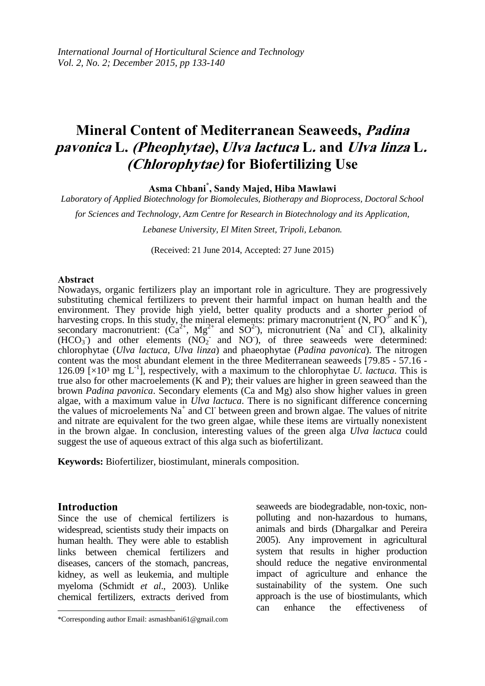# **Mineral Content of Mediterranean Seaweeds, Padina pavonica L. (Pheophytae , Ulva lactuca L. and Ulva linza L.**  *)* **(Chlorophytae) for Biofertilizing Use**

**Asma Chbani\* , Sandy Majed, Hiba Mawlawi** 

*Laboratory of Applied Biotechnology for Biomolecules, Biotherapy and Bioprocess, Doctoral School* 

*for Sciences and Technology, Azm Centre for Research in Biotechnology and its Application,*

*Lebanese University, El Miten Street, Tripoli, Lebanon.*

(Received: 21 June 2014, Accepted: 27 June 2015)

#### **Abstract**

Nowadays, organic fertilizers play an important role in agriculture. They are progressively substituting chemical fertilizers to prevent their harmful impact on human health and the environment. They provide high yield, better quality products and a shorter period of harvesting crops. In this study, the mineral elements: primary macronutrient (N,  $PO^{3}$  and K<sup>+</sup>), secondary macronutrient:  $(\text{Ca}^{2+}, \text{ Mg}^{2+} \text{ and } \text{SO}^{2-})$ , micronutrient (Na<sup>+</sup> and Cl), alkalinity  $(HCO<sub>3</sub>)$  and other elements  $(NO<sub>2</sub>)$  and  $NO<sub>2</sub>)$ , of three seaweeds were determined: chlorophytae (*Ulva lactuca*, *Ulva linza*) and phaeophytae (*Padina pavonica*). The nitrogen content was the most abundant element in the three Mediterranean seaweeds [79.85 - 57.16 - 126.09 [ $\times$ 10<sup>3</sup> mg L<sup>-1</sup>], respectively, with a maximum to the chlorophytae *U*. *lactuca*. This is true also for other macroelements (K and P); their values are higher in green seaweed than the brown *Padina pavonica*. Secondary elements (Ca and Mg) also show higher values in green algae, with a maximum value in *Ulva lactuca*. There is no significant difference concerning the values of microelements  $Na^+$  and Cl between green and brown algae. The values of nitrite and nitrate are equivalent for the two green algae, while these items are virtually nonexistent in the brown algae. In conclusion, interesting values of the green alga *Ulva lactuca* could suggest the use of aqueous extract of this alga such as biofertilizant.

**Keywords:** Biofertilizer, biostimulant, minerals composition.

# **Introduction**

 $\overline{\phantom{a}}$ 

Since the use of chemical fertilizers is widespread, scientists study their impacts on human health. They were able to establish links between chemical fertilizers and diseases, cancers of the stomach, pancreas, kidney, as well as leukemia, and multiple myeloma (Schmidt *et al*., 2003). Unlike chemical fertilizers, extracts derived from seaweeds are biodegradable, non-toxic, nonpolluting and non-hazardous to humans, animals and birds (Dhargalkar and Pereira 2005). Any improvement in agricultural system that results in higher production should reduce the negative environmental impact of agriculture and enhance the sustainability of the system. One such approach is the use of biostimulants, which can enhance the effectiveness of

<sup>\*</sup>Corresponding author Email: asmashbani61@gmail.com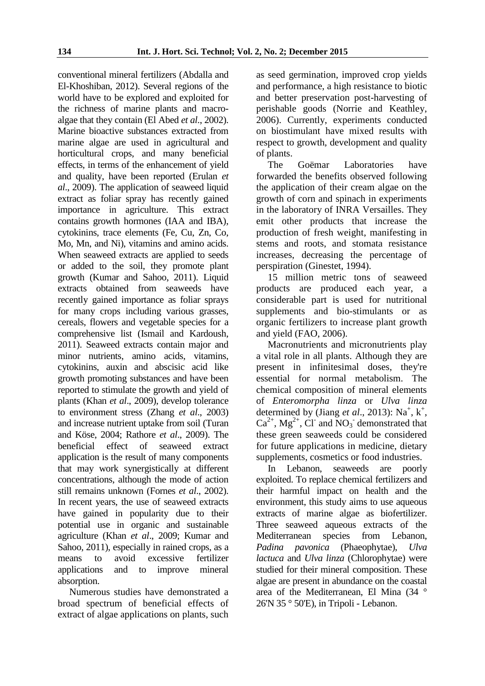conventional mineral fertilizers (Abdalla and El-Khoshiban, 2012). Several regions of the world have to be explored and exploited for the richness of marine plants and macroalgae that they contain (El Abed *et al*., 2002). Marine bioactive substances extracted from marine algae are used in agricultural and horticultural crops, and many beneficial effects, in terms of the enhancement of yield and quality, have been reported (Erulan *et al*., 2009). The application of seaweed liquid extract as foliar spray has recently gained importance in agriculture. This extract contains growth hormones (IAA and IBA), cytokinins, trace elements (Fe, Cu, Zn, Co, Mo, Mn, and Ni), vitamins and amino acids. When seaweed extracts are applied to seeds or added to the soil, they promote plant growth (Kumar and Sahoo, 2011). Liquid extracts obtained from seaweeds have recently gained importance as foliar sprays for many crops including various grasses, cereals, flowers and vegetable species for a comprehensive list (Ismail and Kardoush, 2011). Seaweed extracts contain major and minor nutrients, amino acids, vitamins, cytokinins, auxin and abscisic acid like growth promoting substances and have been reported to stimulate the growth and yield of plants (Khan *et al*., 2009), develop tolerance to environment stress (Zhang *et al*., 2003) and increase nutrient uptake from soil (Turan and Köse, 2004; Rathore *et al*., 2009). The beneficial effect of seaweed extract application is the result of many components that may work synergistically at different concentrations, although the mode of action still remains unknown (Fornes *et al*., 2002). In recent years, the use of seaweed extracts have gained in popularity due to their potential use in organic and sustainable agriculture (Khan *et al*., 2009; Kumar and Sahoo, 2011), especially in rained crops, as a means to avoid excessive fertilizer applications and to improve mineral absorption.

Numerous studies have demonstrated a broad spectrum of beneficial effects of extract of algae applications on plants, such as seed germination, improved crop yields and performance, a high resistance to biotic and better preservation post-harvesting of perishable goods (Norrie and Keathley, 2006). Currently, experiments conducted on biostimulant have mixed results with respect to growth, development and quality of plants.

The Goëmar Laboratories have forwarded the benefits observed following the application of their cream algae on the growth of corn and spinach in experiments in the laboratory of INRA Versailles. They emit other products that increase the production of fresh weight, manifesting in stems and roots, and stomata resistance increases, decreasing the percentage of perspiration (Ginestet, 1994).

15 million metric tons of seaweed products are produced each year, a considerable part is used for nutritional supplements and bio-stimulants or as organic fertilizers to increase plant growth and yield (FAO, 2006).

Macronutrients and micronutrients play a vital role in all plants. Although they are present in infinitesimal doses, they're essential for normal metabolism. The chemical composition of mineral elements of *Enteromorpha linza* or *Ulva linza* determined by (Jiang *et al.*, 2013): Na<sup>+</sup>, k<sup>+</sup>,  $Ca^{2+}$ , Mg<sup>2+</sup>, Cl<sup>-</sup> and NO<sub>3</sub><sup>-</sup> demonstrated that these green seaweeds could be considered for future applications in medicine, dietary supplements, cosmetics or food industries.

In Lebanon, seaweeds are poorly exploited. To replace chemical fertilizers and their harmful impact on health and the environment, this study aims to use aqueous extracts of marine algae as biofertilizer. Three seaweed aqueous extracts of the Mediterranean species from Lebanon, *Padina pavonica* (Phaeophytae), *Ulva lactuca* and *Ulva linza* (Chlorophytae) were studied for their mineral composition. These algae are present in abundance on the coastal area of the Mediterranean, El Mina (34 ° 26'N 35 ° 50'E), in Tripoli - Lebanon.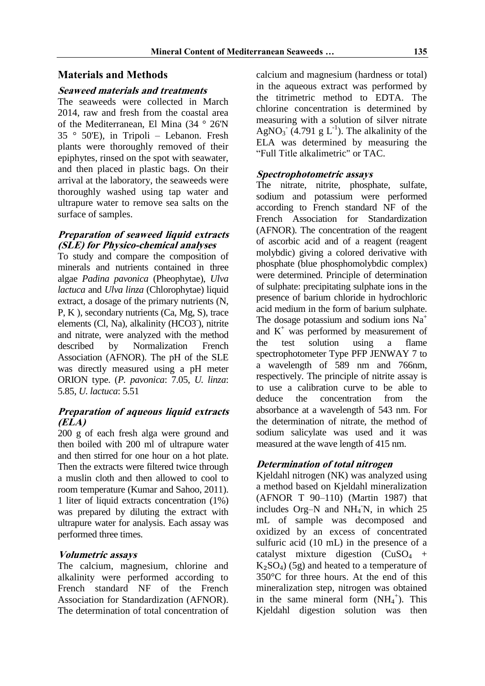# **Materials and Methods**

#### **Seaweed materials and treatments**

The seaweeds were collected in March 2014, raw and fresh from the coastal area of the Mediterranean, El Mina (34 ° 26'N 35 ° 50'E), in Tripoli – Lebanon. Fresh plants were thoroughly removed of their epiphytes, rinsed on the spot with seawater, and then placed in plastic bags. On their arrival at the laboratory, the seaweeds were thoroughly washed using tap water and ultrapure water to remove sea salts on the surface of samples.

#### **Preparation of seaweed liquid extracts (SLE) for Physico-chemical analyses**

To study and compare the composition of minerals and nutrients contained in three algae *Padina pavonica* (Pheophytae), *Ulva lactuca* and *Ulva linza* (Chlorophytae) liquid extract, a dosage of the primary nutrients (N, P, K ), secondary nutrients (Ca, Mg, S), trace elements (Cl, Na), alkalinity (HCO3<sup>-</sup>), nitrite and nitrate, were analyzed with the method described by Normalization French Association (AFNOR). The pH of the SLE was directly measured using a pH meter ORION type. (*P. pavonica*: 7.05, *U. linza*: 5.85, *U. lactuca*: 5.51

# **Preparation of aqueous liquid extracts (ELA)**

200 g of each fresh alga were ground and then boiled with 200 ml of ultrapure water and then stirred for one hour on a hot plate. Then the extracts were filtered twice through a muslin cloth and then allowed to cool to room temperature (Kumar and Sahoo, 2011). 1 liter of liquid extracts concentration (1%) was prepared by diluting the extract with ultrapure water for analysis. Each assay was performed three times.

# **Volumetric assays**

The calcium, magnesium, chlorine and alkalinity were performed according to French standard NF of the French Association for Standardization (AFNOR). The determination of total concentration of calcium and magnesium (hardness or total) in the aqueous extract was performed by the titrimetric method to EDTA. The chlorine concentration is determined by measuring with a solution of silver nitrate AgNO<sub>3</sub> (4.791 g L<sup>-1</sup>). The alkalinity of the ELA was determined by measuring the "Full Title alkalimetric" or TAC.

# **Spectrophotometric assays**

The nitrate, nitrite, phosphate, sulfate, sodium and potassium were performed according to French standard NF of the French Association for Standardization (AFNOR). The concentration of the reagent of ascorbic acid and of a reagent (reagent molybdic) giving a colored derivative with phosphate (blue phosphomolybdic complex) were determined. Principle of determination of sulphate: precipitating sulphate ions in the presence of barium chloride in hydrochloric acid medium in the form of barium sulphate. The dosage potassium and sodium ions  $Na<sup>+</sup>$ and  $K^+$  was performed by measurement of the test solution using a flame spectrophotometer Type PFP JENWAY 7 to a wavelength of 589 nm and 766nm, respectively. The principle of nitrite assay is to use a calibration curve to be able to deduce the concentration from the absorbance at a wavelength of 543 nm. For the determination of nitrate, the method of sodium salicylate was used and it was measured at the wave length of 415 nm.

# **Determination of total nitrogen**

Kjeldahl nitrogen (NK) was analyzed using a method based on Kjeldahl mineralization (AFNOR T 90–110) (Martin 1987) that includes Org-N and NH<sub>4</sub>N, in which 25 mL of sample was decomposed and oxidized by an excess of concentrated sulfuric acid (10 mL) in the presence of a catalyst mixture digestion  $(CuSO<sub>4</sub> +$  $K<sub>2</sub>SO<sub>4</sub>$ ) (5g) and heated to a temperature of 350°C for three hours. At the end of this mineralization step, nitrogen was obtained in the same mineral form  $(NH_4^+)$ . This Kjeldahl digestion solution was then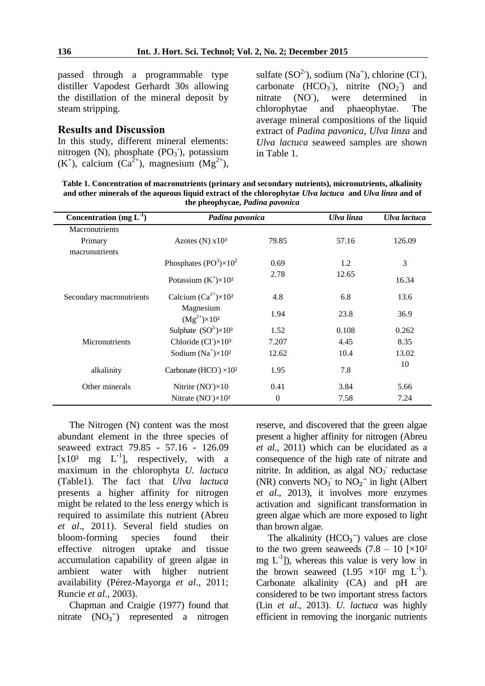passed through a programmable type distiller Vapodest Gerhardt 30s allowing the distillation of the mineral deposit by steam stripping.

#### **Results and Discussion**

In this study, different mineral elements: nitrogen (N), phosphate  $(PO<sub>3</sub>)$ , potassium  $(K^+)$ , calcium  $(Ca^{2+})$ , magnesium  $(Mg^{2+})$ ,

sulfate  $(SO^2)$ , sodium  $(Na^+)$ , chlorine  $(Cl<sub>1</sub>)$ , carbonate  $(HCO<sub>3</sub>)$ , nitrite  $(NO<sub>2</sub>)$  and nitrate  $(NO<sup>-</sup>)$ , ), were determined in chlorophytae and phaeophytae. The average mineral compositions of the liquid extract of *Padina pavonica*, *Ulva linza* and *Ulva lactuca* seaweed samples are shown in Table 1.

**Table 1. Concentration of macronutrients (primary and secondary nutrients), micronutrients, alkalinity and other minerals of the aqueous liquid extract of the chlorophytae** *Ulva lactuca* **and** *Ulva linza* **and of the pheophycae,** *Padina pavonica*

| Concentration (mg $L^{-1}$ ) | Padina pavonica                                            |              | Ulva linza | Ulva lactuca |
|------------------------------|------------------------------------------------------------|--------------|------------|--------------|
| Macronutrients               |                                                            |              |            |              |
| Primary                      | Azotes $(N)$ x $103$                                       | 79.85        | 57.16      | 126.09       |
| macronutrients               |                                                            |              |            |              |
|                              | Phosphates $(PO3) \times 102$                              | 0.69         | 1.2        | 3            |
|                              | Potassium $(K^+\times 10^2)$                               | 2.78         | 12.65      | 16.34        |
| Secondary macronutrients     | Calcium $(Ca^{2+}) \times 10^2$                            | 4.8          | 6.8        | 13.6         |
|                              | Magnesium<br>$(Mg^{2+}) \times 10^2$                       | 1.94         | 23.8       | 36.9         |
|                              | Sulphate $(SO^2)\times 10^3$                               | 1.52         | 0.108      | 0.262        |
| Micronutrients               | Chloride $(Cl^{\dagger})\times10^3$                        | 7.207        | 4.45       | 8.35         |
|                              | Sodium $(Na^+)\times 10^2$                                 | 12.62        | 10.4       | 13.02        |
| alkalinity                   | Carbonate (HCO <sup><math>\rangle \times 10^2</math></sup> | 1.95         | 7.8        | 10           |
| Other minerals               | Nitrite $(NO1) \times 10$                                  | 0.41         | 3.84       | 5.66         |
|                              | Nitrate $(NO-) \times 102$                                 | $\mathbf{0}$ | 7.58       | 7.24         |

The Nitrogen (N) content was the most abundant element in the three species of seaweed extract 79.85 - 57.16 - 126.09  $[x10<sup>3</sup>$  mg  $L<sup>-1</sup>$ ], respectively, with a maximum in the chlorophyta *U. lactuca* (Table1). The fact that *Ulva lactuca* presents a higher affinity for nitrogen might be related to the less energy which is required to assimilate this nutrient (Abreu *et al*., 2011). Several field studies on bloom-forming species found their effective nitrogen uptake and tissue accumulation capability of green algae in ambient water with higher nutrient availability (Pérez-Mayorga *et al*., 2011; Runcie *et al*., 2003).

Chapman and Craigie (1977) found that nitrate  $(NO<sub>3</sub><sup>-</sup>)$  represented a nitrogen reserve, and discovered that the green algae present a higher affinity for nitrogen (Abreu *et al*., 2011) which can be elucidated as a consequence of the high rate of nitrate and nitrite. In addition, as algal  $NO<sub>3</sub>$  reductase (NR) converts  $NO_3$ <sup>-</sup> to  $NO_2$ <sup>-</sup> in light (Albert *et al*., 2013), it involves more enzymes activation and significant transformation in green algae which are more exposed to light than brown algae.

The alkalinity  $(HCO<sub>3</sub><sup>-</sup>)$  values are close to the two green seaweeds  $(7.8 - 10)$  [ $\times$ 10<sup>2</sup> mg  $L^{-1}$ ]), whereas this value is very low in the brown seaweed  $(1.95 \times 10^2 \text{ mg L}^{-1})$ . Carbonate alkalinity (CA) and pH are considered to be two important stress factors (Lin *et al*., 2013). *U. lactuca* was highly efficient in removing the inorganic nutrients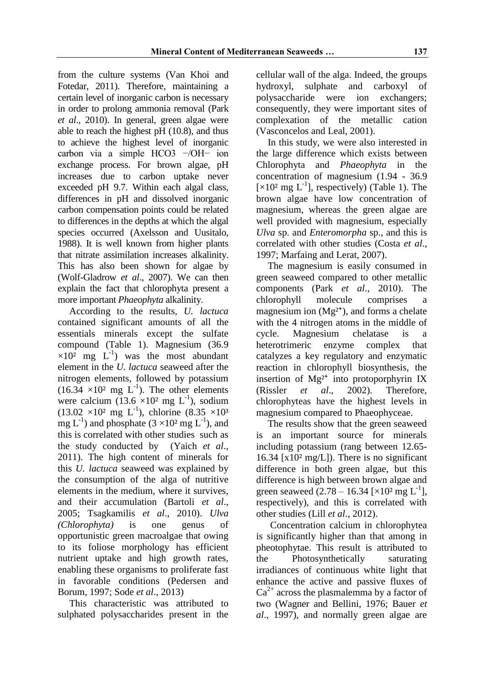from the culture systems (Van Khoi and Fotedar, 2011). Therefore, maintaining a certain level of inorganic carbon is necessary in order to prolong ammonia removal (Park *et al*., 2010). In general, green algae were able to reach the highest pH (10.8), and thus to achieve the highest level of inorganic carbon via a simple HCO3 −/OH− ion exchange process. For brown algae, pH increases due to carbon uptake never exceeded pH 9.7. Within each algal class, differences in pH and dissolved inorganic carbon compensation points could be related to differences in the depths at which the algal species occurred (Axelsson and Uusitalo, 1988). It is well known from higher plants that nitrate assimilation increases alkalinity. This has also been shown for algae by (Wolf-Gladrow *et al*., 2007). We can then explain the fact that chlorophyta present a more important *Phaeophyta* alkalinity.

According to the results, *U. lactuca* contained significant amounts of all the essentials minerals except the sulfate compound (Table 1). Magnesium (36.9  $\times 10^2$  mg L<sup>-1</sup>) was the most abundant element in the *U. lactuca* seaweed after the nitrogen elements, followed by potassium  $(16.34 \times 10^2 \text{ mg } L^{-1})$ . The other elements were calcium  $(13.6 \times 10^2 \text{ mg } L^{-1})$ , sodium  $(13.02 \times 10^2 \text{ mg L}^{-1})$ , chlorine  $(8.35 \times 10^3 \text{ m})$ mg  $L^{-1}$ ) and phosphate  $(3 \times 10^2 \text{ mg } L^{-1})$ , and this is correlated with other studies such as the study conducted by (Yaich *et al*., 2011). The high content of minerals for this *U. lactuca* seaweed was explained by the consumption of the alga of nutritive elements in the medium, where it survives, and their accumulation (Bartoli *et al*., 2005; Tsagkamilis *et al*., 2010). *Ulva (Chlorophyta)* is one genus of opportunistic green macroalgae that owing to its foliose morphology has efficient nutrient uptake and high growth rates, enabling these organisms to proliferate fast in favorable conditions (Pedersen and Borum, 1997; Sode *et al*., 2013)

This characteristic was attributed to sulphated polysaccharides present in the cellular wall of the alga. Indeed, the groups hydroxyl, sulphate and carboxyl of polysaccharide were ion exchangers; consequently, they were important sites of complexation of the metallic cation (Vasconcelos and Leal, 2001).

In this study, we were also interested in the large difference which exists between Chlorophyta and *Phaeophyta* in the concentration of magnesium (1.94 - 36.9 [ $\times$ 10<sup>2</sup> mg L<sup>-1</sup>], respectively) (Table 1). The brown algae have low concentration of magnesium, whereas the green algae are well provided with magnesium, especially *Ulva* sp. and *Enteromorpha* sp., and this is correlated with other studies (Costa *et al*., 1997; Marfaing and Lerat, 2007).

The magnesium is easily consumed in green seaweed compared to other metallic components (Park *et al*., 2010). The chlorophyll molecule comprises a magnesium ion  $(Mg<sup>2+</sup>)$ , and forms a chelate with the 4 nitrogen atoms in the middle of cycle. Magnesium chelatase is a heterotrimeric enzyme complex that catalyzes a key regulatory and enzymatic reaction in chlorophyll biosynthesis, the insertion of  $Mg^{2+}$  into protoporphyrin IX (Rissler *et al*., 2002). Therefore, chlorophyteas have the highest levels in magnesium compared to Phaeophyceae.

The results show that the green seaweed is an important source for minerals including potassium (rang between 12.65- 16.34 [ $x10<sup>2</sup>$  mg/L]). There is no significant difference in both green algae, but this difference is high between brown algae and green seaweed  $(2.78 - 16.34 \;[\times 10^2 \;{\rm mg} \;{\rm L}^{-1}])$ respectively), and this is correlated with other studies (Lill *et al*., 2012).

Concentration calcium in chlorophytea is significantly higher than that among in pheotophytae. This result is attributed to the Photosynthetically saturating irradiances of continuous white light that enhance the active and passive fluxes of  $Ca<sup>2+</sup>$  across the plasmalemma by a factor of two (Wagner and Bellini, 1976; Bauer *et al*., 1997), and normally green algae are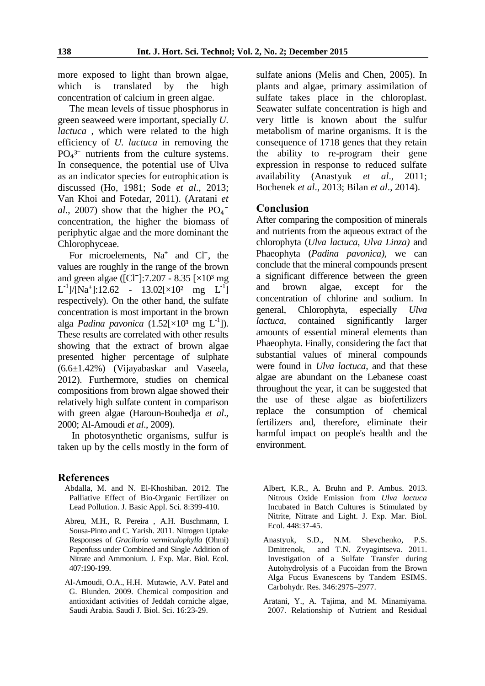more exposed to light than brown algae,<br>which is translated by the high translated by the high concentration of calcium in green algae.

The mean levels of tissue phosphorus in green seaweed were important, specially *U. lactuca* , which were related to the high efficiency of *U. lactuca* in removing the  $PO<sub>4</sub><sup>3</sup>$  nutrients from the culture systems. In consequence, the potential use of Ulva as an indicator species for eutrophication is discussed (Ho, 1981; Sode *et al*., 2013; Van Khoi and Fotedar, 2011). (Aratani *et al.*, 2007) show that the higher the  $PO<sub>4</sub>$ <sup>-</sup> concentration, the higher the biomass of periphytic algae and the more dominant the Chlorophyceae.

For microelements,  $Na<sup>+</sup>$  and Cl<sup>-</sup>, the values are roughly in the range of the brown and green algae ( $[CI^-]$ :7.207 - 8.35  $[\times 10^3 \text{ mg}]$  $L^{-1}$ ]/[Na<sup>+</sup>]:12.62 - 13.02[×10<sup>2</sup> mg  $L^{-1}$ ] respectively). On the other hand, the sulfate concentration is most important in the brown alga *Padina pavonica*  $(1.52[\times 10^3 \text{ mg } L^{-1}])$ . These results are correlated with other results showing that the extract of brown algae presented higher percentage of sulphate (6.6±1.42%) (Vijayabaskar and Vaseela, 2012). Furthermore, studies on chemical compositions from brown algae showed their relatively high sulfate content in comparison with green algae (Haroun-Bouhedja *et al*., 2000; Al-Amoudi *et al*., 2009).

 In photosynthetic organisms, sulfur is taken up by the cells mostly in the form of

#### **References**

- Abdalla, M. and N. El-Khoshiban. 2012. The Palliative Effect of Bio-Organic Fertilizer on Lead Pollution. J. Basic Appl. Sci. 8:399-410.
- Abreu, M.H., R. Pereira , A.H. Buschmann, I. Sousa-Pinto and C. Yarish. 2011. Nitrogen Uptake Responses of *Gracilaria vermiculophylla* (Ohmi) Papenfuss under Combined and Single Addition of Nitrate and Ammonium. J. Exp. Mar. Biol. Ecol. 407:190-199.
- Al-Amoudi, O.A., H.H. Mutawie, A.V. Patel and G. Blunden. 2009. Chemical composition and antioxidant activities of Jeddah corniche algae, Saudi Arabia. Saudi J. Biol. Sci. 16:23-29.

sulfate anions (Melis and Chen, 2005). In plants and algae, primary assimilation of sulfate takes place in the chloroplast. Seawater sulfate concentration is high and very little is known about the sulfur metabolism of marine organisms. It is the consequence of 1718 genes that they retain the ability to re-program their gene expression in response to reduced sulfate availability (Anastyuk *et al*., 2011; Bochenek *et al*., 2013; Bilan *et al*., 2014).

#### **Conclusion**

After comparing the composition of minerals and nutrients from the aqueous extract of the chlorophyta (*Ulva lactuca*, *Ulva Linza)* and Phaeophyta (*Padina pavonica),* we can conclude that the mineral compounds present a significant difference between the green and brown algae, except for the concentration of chlorine and sodium. In general, Chlorophyta, especially *Ulva lactuca,* contained significantly larger amounts of essential mineral elements than Phaeophyta. Finally, considering the fact that substantial values of mineral compounds were found in *Ulva lactuca*, and that these algae are abundant on the Lebanese coast throughout the year, it can be suggested that the use of these algae as biofertilizers replace the consumption of chemical fertilizers and, therefore, eliminate their harmful impact on people's health and the environment.

- Albert, K.R., A. Bruhn and P. Ambus. 2013. Nitrous Oxide Emission from *Ulva lactuca* Incubated in Batch Cultures is Stimulated by Nitrite, Nitrate and Light. J. Exp. Mar. Biol. Ecol. 448:37-45.
- Anastyuk, S.D., N.M. Shevchenko, P.S. Dmitrenok, and T.N. Zvyagintseva. 2011. Investigation of a Sulfate Transfer during Autohydrolysis of a Fucoidan from the Brown Alga Fucus Evanescens by Tandem ESIMS. Carbohydr. Res. 346:2975–2977.
- Aratani, Y., A. Tajima, and M. Minamiyama. 2007. Relationship of Nutrient and Residual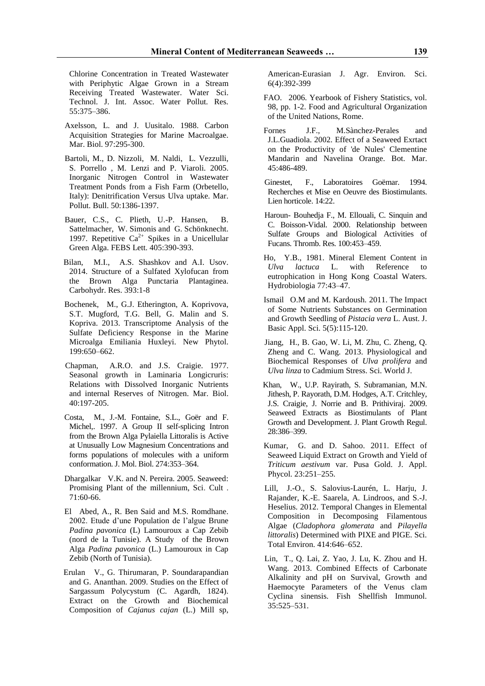Chlorine Concentration in Treated Wastewater with Periphytic Algae Grown in a Stream Receiving Treated Wastewater. Water Sci. Technol. J. Int. Assoc. Water Pollut. Res. 55:375–386.

- Axelsson, L. and J. Uusitalo. 1988. Carbon Acquisition Strategies for Marine Macroalgae. Mar. Biol. 97:295-300.
- Bartoli, M., D. Nizzoli, M. Naldi, L. Vezzulli, S. Porrello , M. Lenzi and P. Viaroli. 2005. Inorganic Nitrogen Control in Wastewater Treatment Ponds from a Fish Farm (Orbetello, Italy): Denitrification Versus Ulva uptake. Mar. Pollut. Bull. 50:1386-1397.
- Bauer, C.S., C. Plieth, U.-P. Hansen, B. Sattelmacher, W. Simonis and G. Schönknecht. 1997. Repetitive  $Ca^{2+}$  Spikes in a Unicellular Green Alga. FEBS Lett. 405:390-393.
- Bilan, M.I., A.S. Shashkov and A.I. Usov. 2014. Structure of a Sulfated Xylofucan from the Brown Alga Punctaria Plantaginea. Carbohydr. Res. 393:1-8
- Bochenek, M., G.J. Etherington, A. Koprivova, S.T. Mugford, T.G. Bell, G. Malin and S. Kopriva. 2013. Transcriptome Analysis of the Sulfate Deficiency Response in the Marine Microalga Emiliania Huxleyi. New Phytol. 199:650–662.
- Chapman, A.R.O. and J.S. Craigie. 1977. Seasonal growth in Laminaria Longicruris: Relations with Dissolved Inorganic Nutrients and internal Reserves of Nitrogen. Mar. Biol. 40:197-205.
- Costa, M., J.-M. Fontaine, S.L., Goër and F. Michel,. 1997. A Group II self-splicing Intron from the Brown Alga Pylaiella Littoralis is Active at Unusually Low Magnesium Concentrations and forms populations of molecules with a uniform conformation. J. Mol. Biol. 274:353–364.
- Dhargalkar V.K. and N. Pereira. 2005. Seaweed: Promising Plant of the millennium, Sci. Cult . 71:60-66.
- El Abed, A., R. Ben Said and M.S. Romdhane. 2002. Etude d'une Population de l'algue Brune *Padina pavonica* (L) Lamouroux a Cap Zebib (nord de la Tunisie). A Study of the Brown Alga *Padina pavonica* (L.) Lamouroux in Cap Zebib (North of Tunisia).
- Erulan V., G. Thirumaran, P. Soundarapandian and G. Ananthan. 2009. Studies on the Effect of Sargassum Polycystum (C. Agardh, 1824). Extract on the Growth and Biochemical Composition of *Cajanus cajan* (L.) Mill sp,

American-Eurasian J. Agr. Environ. Sci. 6(4):392-399

- FAO. 2006. Yearbook of Fishery Statistics, vol. 98, pp. 1-2. Food and Agricultural Organization of the United Nations, Rome.
- Fornes J.F., M.Sànchez-Perales and J.L.Guadiola. 2002. Effect of a Seaweed Exrtact on the Productivity of 'de Nules' Clementine Mandarin and Navelina Orange. Bot. Mar. 45:486-489.
- Ginestet, F., Laboratoires Goëmar. 1994. Recherches et Mise en Oeuvre des Biostimulants. Lien horticole. 14:22.
- Haroun- Bouhedja F., M. Ellouali, C. Sinquin and C. Boisson-Vidal. 2000. Relationship between Sulfate Groups and Biological Activities of Fucans. Thromb. Res. 100:453–459.
- Ho, Y.B., 1981. Mineral Element Content in *Ulva lactuca* L. with Reference to eutrophication in Hong Kong Coastal Waters. Hydrobiologia 77:43–47.
- Ismail O.M and M. Kardoush. 2011. The Impact of Some Nutrients Substances on Germination and Growth Seedling of *Pistacia vera* L. Aust. J. Basic Appl. Sci. 5(5):115-120.
- Jiang, H., B. Gao, W. Li, M. Zhu, C. Zheng, Q. Zheng and C. Wang. 2013. Physiological and Biochemical Responses of *Ulva prolifera* and *Ulva linza* to Cadmium Stress. Sci. World J.
- Khan, W., U.P. Rayirath, S. Subramanian, M.N. Jithesh, P. Rayorath, D.M. Hodges, A.T. Critchley, J.S. Craigie, J. Norrie and B. Prithiviraj. 2009. Seaweed Extracts as Biostimulants of Plant Growth and Development. J. Plant Growth Regul. 28:386–399.
- Kumar, G. and D. Sahoo. 2011. Effect of Seaweed Liquid Extract on Growth and Yield of *Triticum aestivum* var. Pusa Gold. J. Appl. Phycol. 23:251–255.
- Lill, J.-O., S. Salovius-Laurén, L. Harju, J. Rajander, K.-E. Saarela, A. Lindroos, and S.-J. Heselius. 2012. Temporal Changes in Elemental Composition in Decomposing Filamentous Algae (*Cladophora glomerata* and *Pilayella littoralis*) Determined with PIXE and PIGE. Sci. Total Environ. 414:646–652.
- Lin, T., Q. Lai, Z. Yao, J. Lu, K. Zhou and H. Wang. 2013. Combined Effects of Carbonate Alkalinity and pH on Survival, Growth and Haemocyte Parameters of the Venus clam Cyclina sinensis. Fish Shellfish Immunol. 35:525–531.